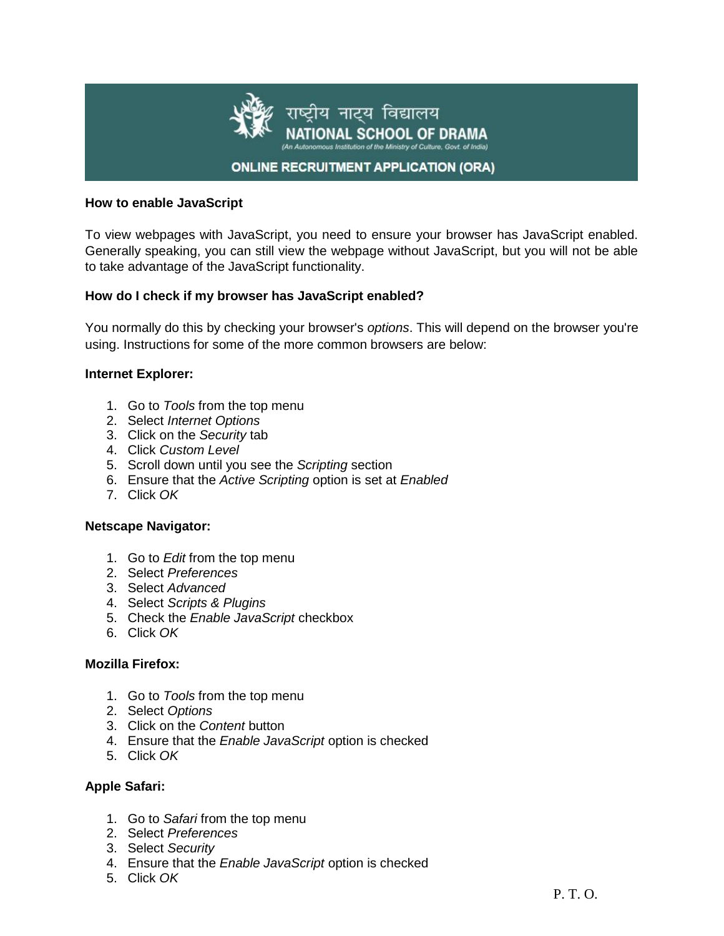

### **How to enable JavaScript**

To view webpages with JavaScript, you need to ensure your browser has JavaScript enabled. Generally speaking, you can still view the webpage without JavaScript, but you will not be able to take advantage of the JavaScript functionality.

### **How do I check if my browser has JavaScript enabled?**

You normally do this by checking your browser's *options*. This will depend on the browser you're using. Instructions for some of the more common browsers are below:

### **Internet Explorer:**

- 1. Go to *Tools* from the top menu
- 2. Select *Internet Options*
- 3. Click on the *Security* tab
- 4. Click *Custom Level*
- 5. Scroll down until you see the *Scripting* section
- 6. Ensure that the *Active Scripting* option is set at *Enabled*
- 7. Click *OK*

### **Netscape Navigator:**

- 1. Go to *Edit* from the top menu
- 2. Select *Preferences*
- 3. Select *Advanced*
- 4. Select *Scripts & Plugins*
- 5. Check the *Enable JavaScript* checkbox
- 6. Click *OK*

### **Mozilla Firefox:**

- 1. Go to *Tools* from the top menu
- 2. Select *Options*
- 3. Click on the *Content* button
- 4. Ensure that the *Enable JavaScript* option is checked
- 5. Click *OK*

# **Apple Safari:**

- 1. Go to *Safari* from the top menu
- 2. Select *Preferences*
- 3. Select *Security*
- 4. Ensure that the *Enable JavaScript* option is checked
- 5. Click *OK*